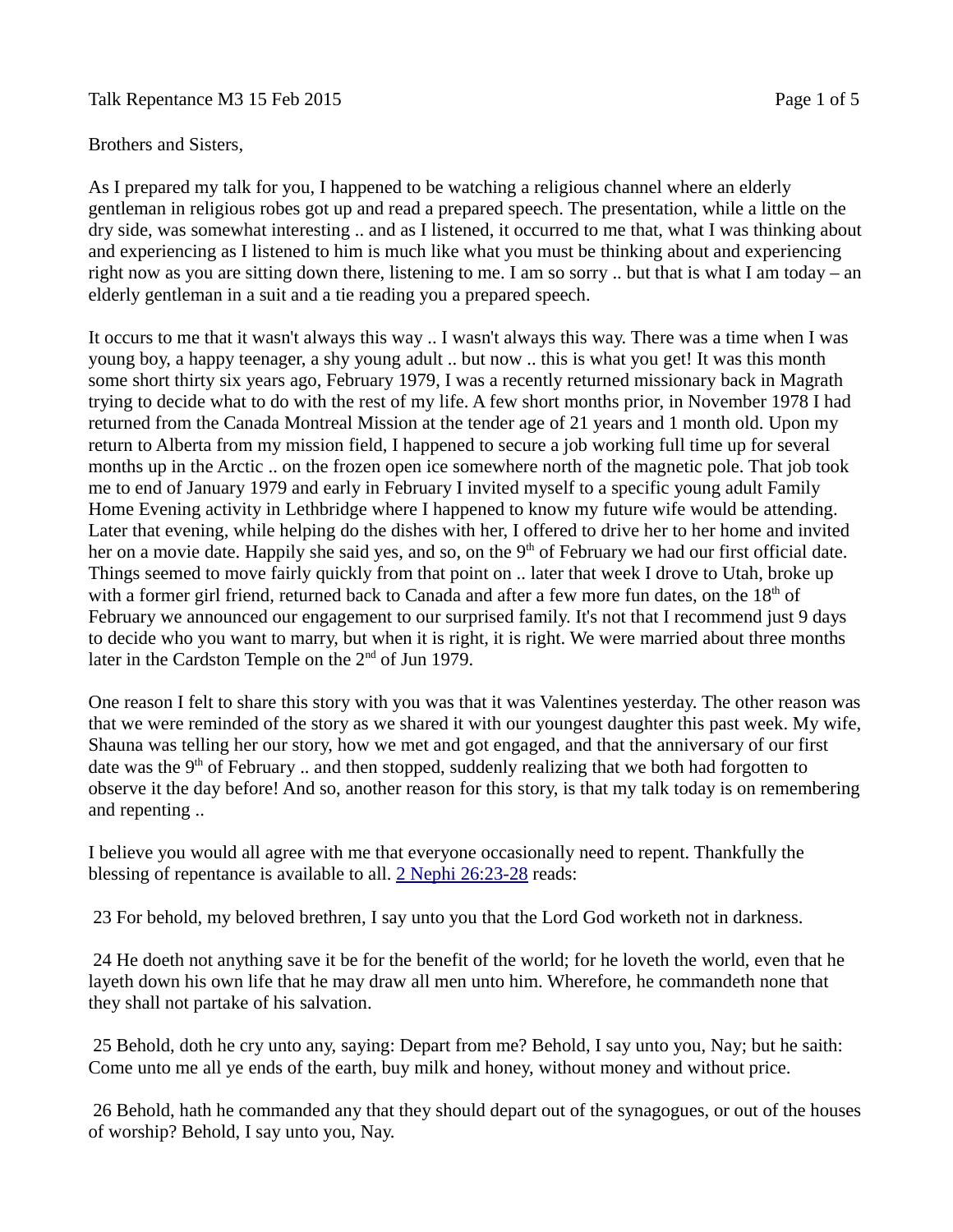## Talk Repentance M3 15 Feb 2015 **Page 1** of 5

## Brothers and Sisters,

As I prepared my talk for you, I happened to be watching a religious channel where an elderly gentleman in religious robes got up and read a prepared speech. The presentation, while a little on the dry side, was somewhat interesting .. and as I listened, it occurred to me that, what I was thinking about and experiencing as I listened to him is much like what you must be thinking about and experiencing right now as you are sitting down there, listening to me. I am so sorry .. but that is what I am today – an elderly gentleman in a suit and a tie reading you a prepared speech.

It occurs to me that it wasn't always this way .. I wasn't always this way. There was a time when I was young boy, a happy teenager, a shy young adult .. but now .. this is what you get! It was this month some short thirty six years ago, February 1979, I was a recently returned missionary back in Magrath trying to decide what to do with the rest of my life. A few short months prior, in November 1978 I had returned from the Canada Montreal Mission at the tender age of 21 years and 1 month old. Upon my return to Alberta from my mission field, I happened to secure a job working full time up for several months up in the Arctic .. on the frozen open ice somewhere north of the magnetic pole. That job took me to end of January 1979 and early in February I invited myself to a specific young adult Family Home Evening activity in Lethbridge where I happened to know my future wife would be attending. Later that evening, while helping do the dishes with her, I offered to drive her to her home and invited her on a movie date. Happily she said yes, and so, on the 9<sup>th</sup> of February we had our first official date. Things seemed to move fairly quickly from that point on .. later that week I drove to Utah, broke up with a former girl friend, returned back to Canada and after a few more fun dates, on the  $18<sup>th</sup>$  of February we announced our engagement to our surprised family. It's not that I recommend just 9 days to decide who you want to marry, but when it is right, it is right. We were married about three months later in the Cardston Temple on the 2<sup>nd</sup> of Jun 1979.

One reason I felt to share this story with you was that it was Valentines yesterday. The other reason was that we were reminded of the story as we shared it with our youngest daughter this past week. My wife, Shauna was telling her our story, how we met and got engaged, and that the anniversary of our first date was the  $9<sup>th</sup>$  of February .. and then stopped, suddenly realizing that we both had forgotten to observe it the day before! And so, another reason for this story, is that my talk today is on remembering and repenting ..

I believe you would all agree with me that everyone occasionally need to repent. Thankfully the blessing of repentance is available to all. [2 Nephi 26:23-28](https://www.lds.org/scriptures/bofm/2-ne/26.23-28?lang=eng#22) reads:

23 For behold, my beloved brethren, I say unto you that the Lord God worketh not in darkness.

 24 He doeth not anything save it be for the benefit of the world; for he loveth the world, even that he layeth down his own life that he may draw all men unto him. Wherefore, he commandeth none that they shall not partake of his salvation.

 25 Behold, doth he cry unto any, saying: Depart from me? Behold, I say unto you, Nay; but he saith: Come unto me all ye ends of the earth, buy milk and honey, without money and without price.

 26 Behold, hath he commanded any that they should depart out of the synagogues, or out of the houses of worship? Behold, I say unto you, Nay.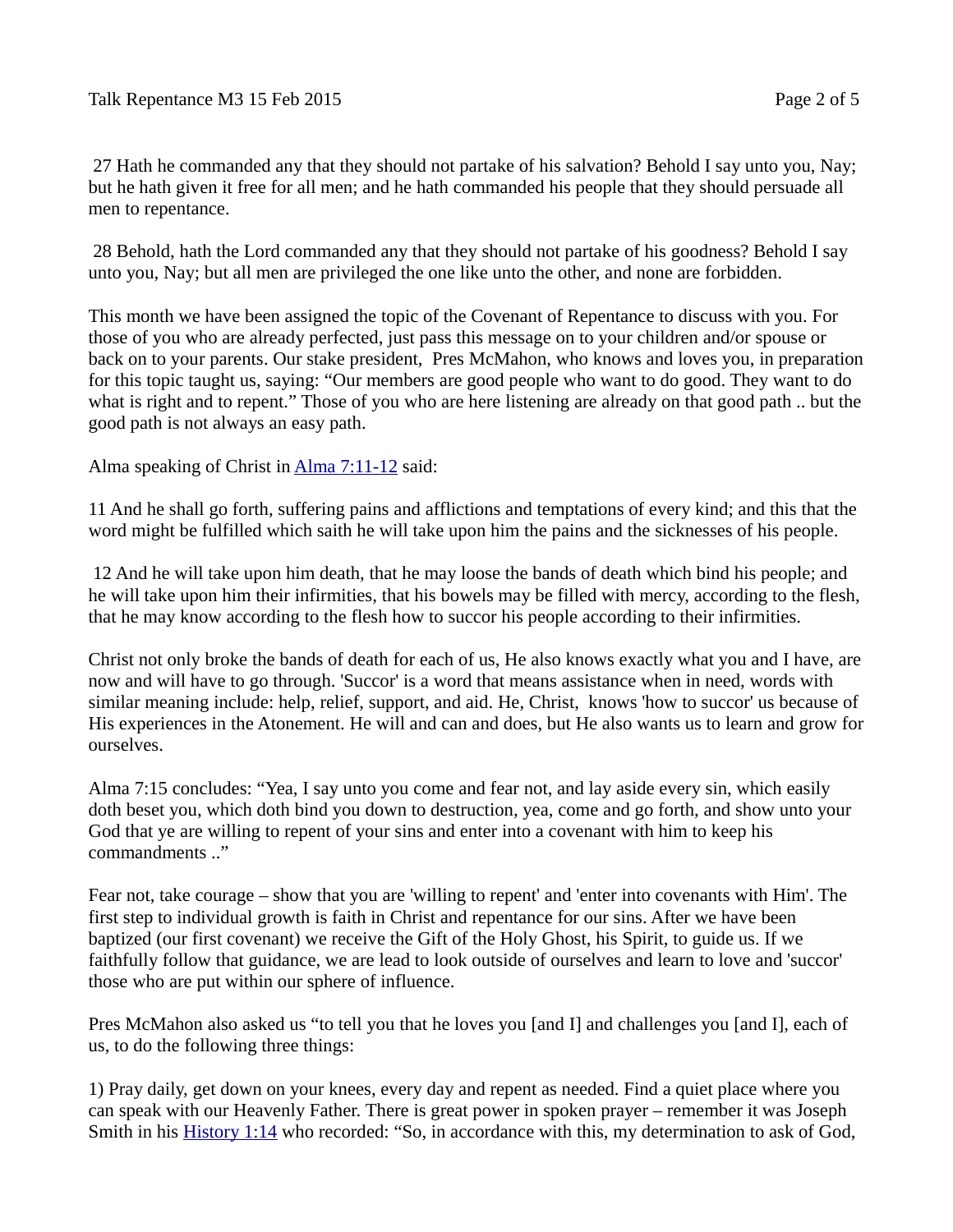27 Hath he commanded any that they should not partake of his salvation? Behold I say unto you, Nay; but he hath given it free for all men; and he hath commanded his people that they should persuade all men to repentance.

 28 Behold, hath the Lord commanded any that they should not partake of his goodness? Behold I say unto you, Nay; but all men are privileged the one like unto the other, and none are forbidden.

This month we have been assigned the topic of the Covenant of Repentance to discuss with you. For those of you who are already perfected, just pass this message on to your children and/or spouse or back on to your parents. Our stake president, Pres McMahon, who knows and loves you, in preparation for this topic taught us, saying: "Our members are good people who want to do good. They want to do what is right and to repent." Those of you who are here listening are already on that good path .. but the good path is not always an easy path.

Alma speaking of Christ in [Alma 7:11-12](https://www.lds.org/scriptures/bofm/alma/7.11-12?lang=eng#10) said:

11 And he shall go forth, suffering pains and afflictions and temptations of every kind; and this that the word might be fulfilled which saith he will take upon him the pains and the sicknesses of his people.

 12 And he will take upon him death, that he may loose the bands of death which bind his people; and he will take upon him their infirmities, that his bowels may be filled with mercy, according to the flesh, that he may know according to the flesh how to succor his people according to their infirmities.

Christ not only broke the bands of death for each of us, He also knows exactly what you and I have, are now and will have to go through. 'Succor' is a word that means assistance when in need, words with similar meaning include: help, relief, support, and aid. He, Christ, knows 'how to succor' us because of His experiences in the Atonement. He will and can and does, but He also wants us to learn and grow for ourselves.

Alma 7:15 concludes: "Yea, I say unto you come and fear not, and lay aside every sin, which easily doth beset you, which doth bind you down to destruction, yea, come and go forth, and show unto your God that ye are willing to repent of your sins and enter into a covenant with him to keep his commandments .."

Fear not, take courage – show that you are 'willing to repent' and 'enter into covenants with Him'. The first step to individual growth is faith in Christ and repentance for our sins. After we have been baptized (our first covenant) we receive the Gift of the Holy Ghost, his Spirit, to guide us. If we faithfully follow that guidance, we are lead to look outside of ourselves and learn to love and 'succor' those who are put within our sphere of influence.

Pres McMahon also asked us "to tell you that he loves you [and I] and challenges you [and I], each of us, to do the following three things:

1) Pray daily, get down on your knees, every day and repent as needed. Find a quiet place where you can speak with our Heavenly Father. There is great power in spoken prayer – remember it was Joseph Smith in his **History 1:14** who recorded: "So, in accordance with this, my determination to ask of God,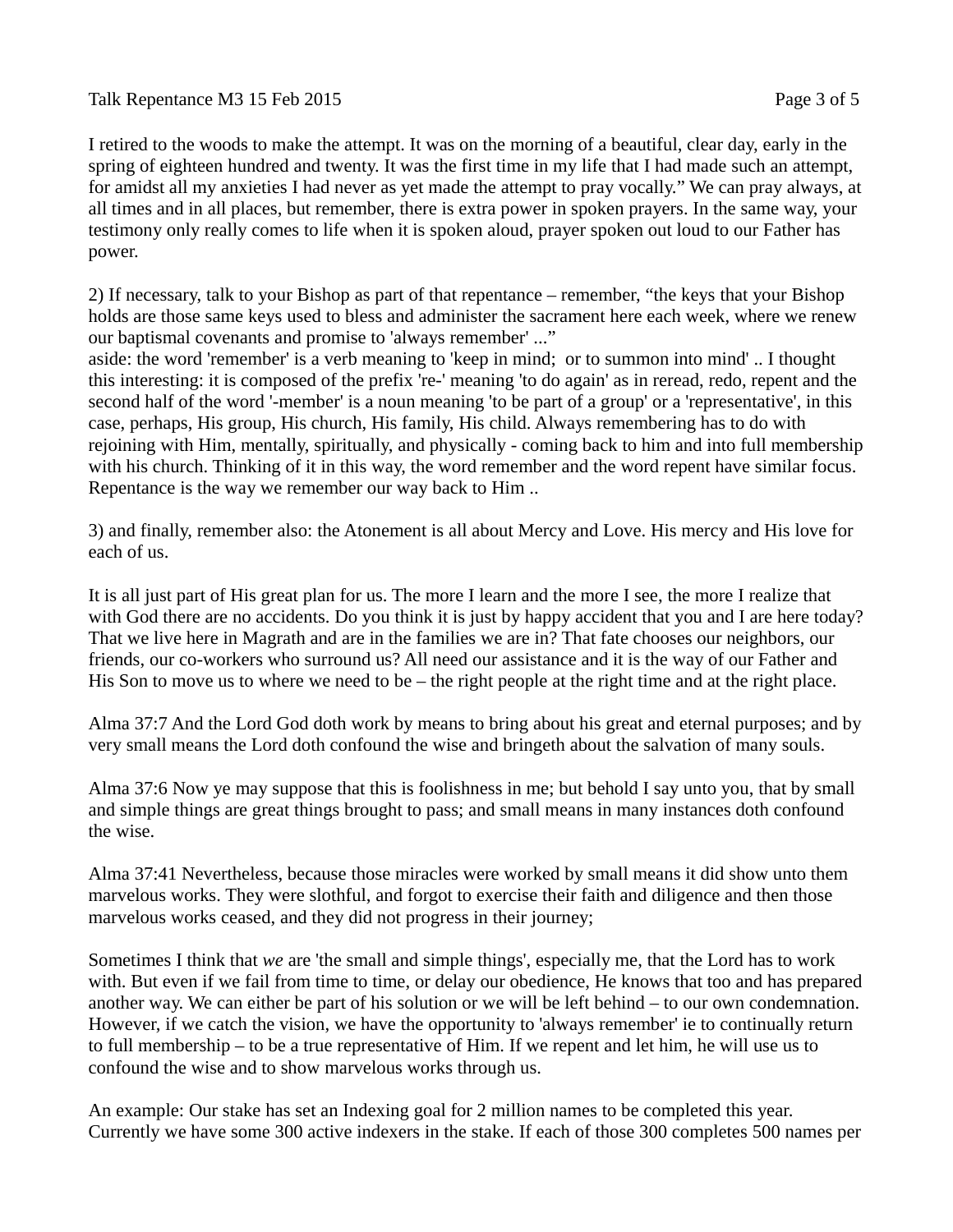## Talk Repentance M3 15 Feb 2015 **Page 3 of 5**

I retired to the woods to make the attempt. It was on the morning of a beautiful, clear day, early in the spring of eighteen hundred and twenty. It was the first time in my life that I had made such an attempt, for amidst all my anxieties I had never as yet made the attempt to pray vocally." We can pray always, at all times and in all places, but remember, there is extra power in spoken prayers. In the same way, your testimony only really comes to life when it is spoken aloud, prayer spoken out loud to our Father has power.

2) If necessary, talk to your Bishop as part of that repentance – remember, "the keys that your Bishop holds are those same keys used to bless and administer the sacrament here each week, where we renew our baptismal covenants and promise to 'always remember' ..."

aside: the word 'remember' is a verb meaning to 'keep in mind; or to summon into mind' .. I thought this interesting: it is composed of the prefix 're-' meaning 'to do again' as in reread, redo, repent and the second half of the word '-member' is a noun meaning 'to be part of a group' or a 'representative', in this case, perhaps, His group, His church, His family, His child. Always remembering has to do with rejoining with Him, mentally, spiritually, and physically - coming back to him and into full membership with his church. Thinking of it in this way, the word remember and the word repent have similar focus. Repentance is the way we remember our way back to Him ..

3) and finally, remember also: the Atonement is all about Mercy and Love. His mercy and His love for each of us.

It is all just part of His great plan for us. The more I learn and the more I see, the more I realize that with God there are no accidents. Do you think it is just by happy accident that you and I are here today? That we live here in Magrath and are in the families we are in? That fate chooses our neighbors, our friends, our co-workers who surround us? All need our assistance and it is the way of our Father and His Son to move us to where we need to be – the right people at the right time and at the right place.

Alma 37:7 And the Lord God doth work by means to bring about his great and eternal purposes; and by very small means the Lord doth confound the wise and bringeth about the salvation of many souls.

Alma 37:6 Now ye may suppose that this is foolishness in me; but behold I say unto you, that by small and simple things are great things brought to pass; and small means in many instances doth confound the wise.

Alma 37:41 Nevertheless, because those miracles were worked by small means it did show unto them marvelous works. They were slothful, and forgot to exercise their faith and diligence and then those marvelous works ceased, and they did not progress in their journey;

Sometimes I think that *we* are 'the small and simple things', especially me, that the Lord has to work with. But even if we fail from time to time, or delay our obedience, He knows that too and has prepared another way. We can either be part of his solution or we will be left behind – to our own condemnation. However, if we catch the vision, we have the opportunity to 'always remember' ie to continually return to full membership – to be a true representative of Him. If we repent and let him, he will use us to confound the wise and to show marvelous works through us.

An example: Our stake has set an Indexing goal for 2 million names to be completed this year. Currently we have some 300 active indexers in the stake. If each of those 300 completes 500 names per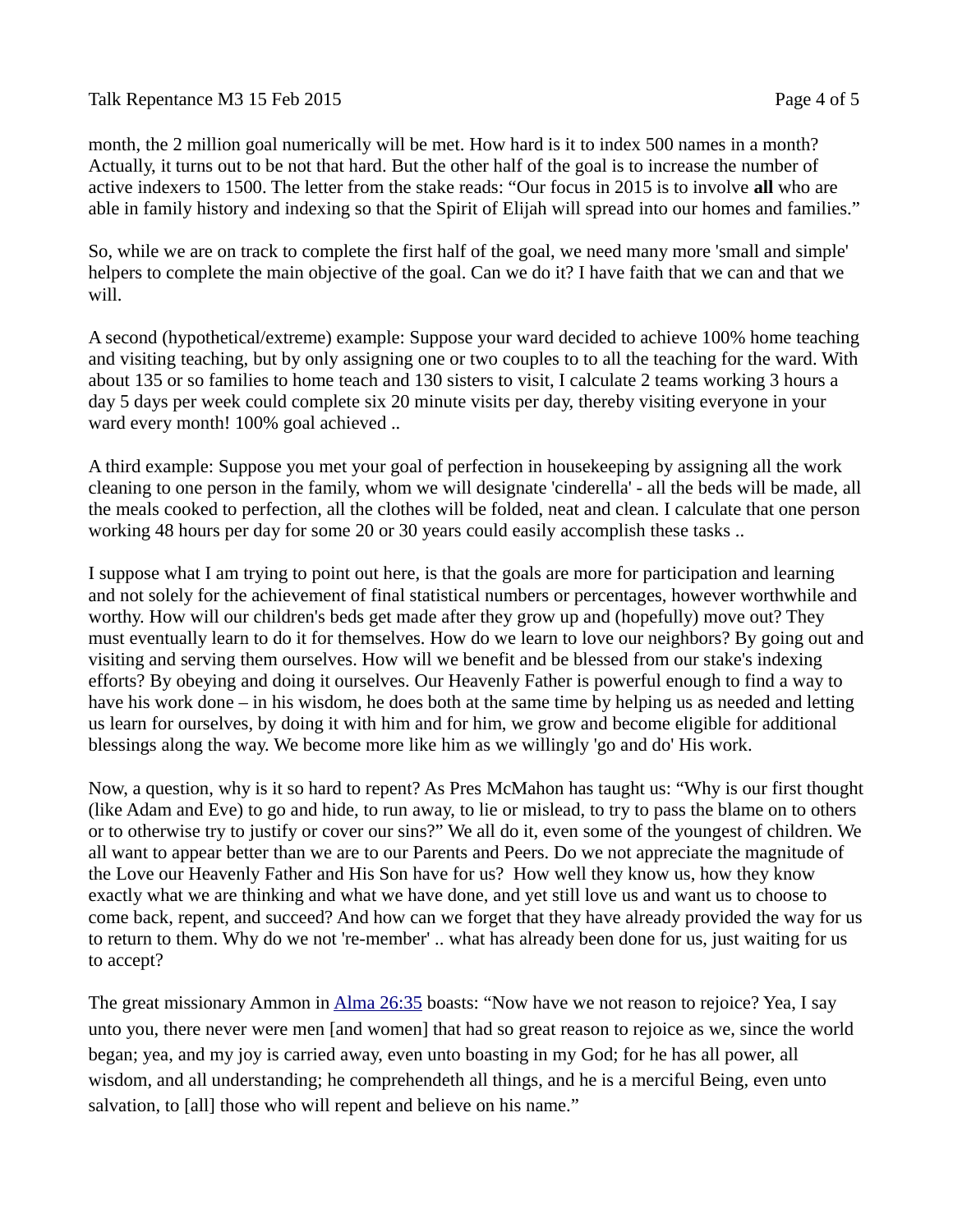Talk Repentance M3 15 Feb 2015 **Page 4 of 5** 

month, the 2 million goal numerically will be met. How hard is it to index 500 names in a month? Actually, it turns out to be not that hard. But the other half of the goal is to increase the number of active indexers to 1500. The letter from the stake reads: "Our focus in 2015 is to involve **all** who are able in family history and indexing so that the Spirit of Elijah will spread into our homes and families."

So, while we are on track to complete the first half of the goal, we need many more 'small and simple' helpers to complete the main objective of the goal. Can we do it? I have faith that we can and that we will.

A second (hypothetical/extreme) example: Suppose your ward decided to achieve 100% home teaching and visiting teaching, but by only assigning one or two couples to to all the teaching for the ward. With about 135 or so families to home teach and 130 sisters to visit, I calculate 2 teams working 3 hours a day 5 days per week could complete six 20 minute visits per day, thereby visiting everyone in your ward every month! 100% goal achieved ..

A third example: Suppose you met your goal of perfection in housekeeping by assigning all the work cleaning to one person in the family, whom we will designate 'cinderella' - all the beds will be made, all the meals cooked to perfection, all the clothes will be folded, neat and clean. I calculate that one person working 48 hours per day for some 20 or 30 years could easily accomplish these tasks ..

I suppose what I am trying to point out here, is that the goals are more for participation and learning and not solely for the achievement of final statistical numbers or percentages, however worthwhile and worthy. How will our children's beds get made after they grow up and (hopefully) move out? They must eventually learn to do it for themselves. How do we learn to love our neighbors? By going out and visiting and serving them ourselves. How will we benefit and be blessed from our stake's indexing efforts? By obeying and doing it ourselves. Our Heavenly Father is powerful enough to find a way to have his work done – in his wisdom, he does both at the same time by helping us as needed and letting us learn for ourselves, by doing it with him and for him, we grow and become eligible for additional blessings along the way. We become more like him as we willingly 'go and do' His work.

Now, a question, why is it so hard to repent? As Pres McMahon has taught us: "Why is our first thought (like Adam and Eve) to go and hide, to run away, to lie or mislead, to try to pass the blame on to others or to otherwise try to justify or cover our sins?" We all do it, even some of the youngest of children. We all want to appear better than we are to our Parents and Peers. Do we not appreciate the magnitude of the Love our Heavenly Father and His Son have for us? How well they know us, how they know exactly what we are thinking and what we have done, and yet still love us and want us to choose to come back, repent, and succeed? And how can we forget that they have already provided the way for us to return to them. Why do we not 're-member' .. what has already been done for us, just waiting for us to accept?

The great missionary Ammon in [Alma 26:35](https://www.lds.org/scriptures/bofm/alma/26.35?lang=eng#34) boasts: "Now have we not reason to rejoice? Yea, I say unto you, there never were men [and women] that had so great reason to rejoice as we, since the world began; yea, and my joy is carried away, even unto boasting in my God; for he has all power, all wisdom, and all understanding; he comprehendeth all things, and he is a merciful Being, even unto salvation, to [all] those who will repent and believe on his name."